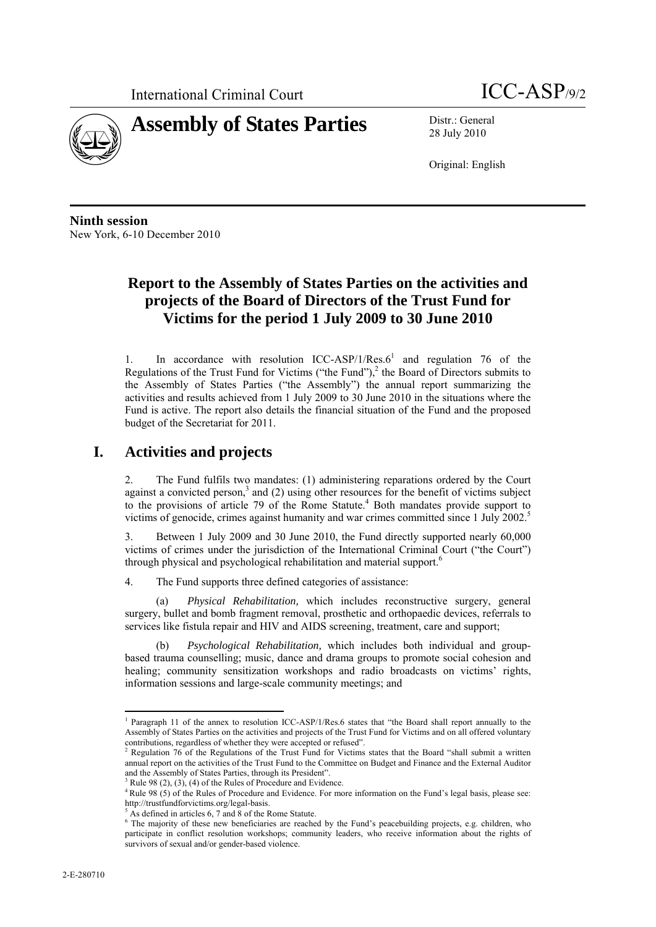

28 July 2010

Original: English

**Ninth session**  New York, 6-10 December 2010

## **Report to the Assembly of States Parties on the activities and projects of the Board of Directors of the Trust Fund for Victims for the period 1 July 2009 to 30 June 2010**

1. In accordance with resolution  $ICC-ASP/1/Res.6<sup>1</sup>$  and regulation 76 of the Regulations of the Trust Fund for Victims ("the Fund"), $<sup>2</sup>$  the Board of Directors submits to</sup> the Assembly of States Parties ("the Assembly") the annual report summarizing the activities and results achieved from 1 July 2009 to 30 June 2010 in the situations where the Fund is active. The report also details the financial situation of the Fund and the proposed budget of the Secretariat for 2011.

## **I. Activities and projects**

2. The Fund fulfils two mandates: (1) administering reparations ordered by the Court against a convicted person, $3$  and (2) using other resources for the benefit of victims subject to the provisions of article 79 of the Rome Statute.<sup>4</sup> Both mandates provide support to victims of genocide, crimes against humanity and war crimes committed since 1 July 2002.<sup>5</sup>

3. Between 1 July 2009 and 30 June 2010, the Fund directly supported nearly 60,000 victims of crimes under the jurisdiction of the International Criminal Court ("the Court") through physical and psychological rehabilitation and material support.<sup>6</sup>

4. The Fund supports three defined categories of assistance:

(a) *Physical Rehabilitation,* which includes reconstructive surgery, general surgery, bullet and bomb fragment removal, prosthetic and orthopaedic devices, referrals to services like fistula repair and HIV and AIDS screening, treatment, care and support;

(b) *Psychological Rehabilitation,* which includes both individual and groupbased trauma counselling; music, dance and drama groups to promote social cohesion and healing; community sensitization workshops and radio broadcasts on victims' rights, information sessions and large-scale community meetings; and

 <sup>1</sup> Paragraph 11 of the annex to resolution ICC-ASP/1/Res.6 states that "the Board shall report annually to the Assembly of States Parties on the activities and projects of the Trust Fund for Victims and on all offered voluntary contributions, regardless of whether they were accepted or refused".

<sup>&</sup>lt;sup>2</sup> Regulation 76 of the Regulations of the Trust Fund for Victims states that the Board "shall submit a written annual report on the activities of the Trust Fund to the Committee on Budget and Finance and the External Auditor and the Assembly of States Parties, through its President".

Rule 98 (2), (3), (4) of the Rules of Procedure and Evidence.

<sup>&</sup>lt;sup>4</sup> Rule 98 (5) of the Rules of Procedure and Evidence. For more information on the Fund's legal basis, please see: http://trustfundforvictims.org/legal-basis. 5

 $5$  As defined in articles 6, 7 and 8 of the Rome Statute.

<sup>&</sup>lt;sup>6</sup> The majority of these new beneficiaries are reached by the Fund's peacebuilding projects, e.g. children, who participate in conflict resolution workshops; community leaders, who receive information about the rights of survivors of sexual and/or gender-based violence.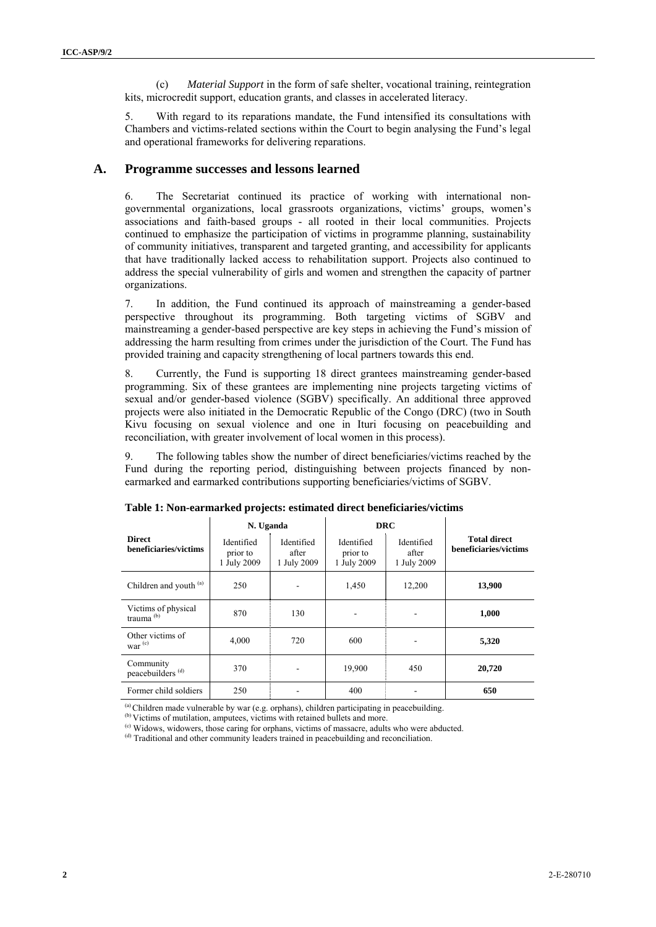(c) *Material Support* in the form of safe shelter, vocational training, reintegration kits, microcredit support, education grants, and classes in accelerated literacy.

5. With regard to its reparations mandate, the Fund intensified its consultations with Chambers and victims-related sections within the Court to begin analysing the Fund's legal and operational frameworks for delivering reparations.

### **A. Programme successes and lessons learned**

6. The Secretariat continued its practice of working with international nongovernmental organizations, local grassroots organizations, victims' groups, women's associations and faith-based groups - all rooted in their local communities. Projects continued to emphasize the participation of victims in programme planning, sustainability of community initiatives, transparent and targeted granting, and accessibility for applicants that have traditionally lacked access to rehabilitation support. Projects also continued to address the special vulnerability of girls and women and strengthen the capacity of partner organizations.

7. In addition, the Fund continued its approach of mainstreaming a gender-based perspective throughout its programming. Both targeting victims of SGBV and mainstreaming a gender-based perspective are key steps in achieving the Fund's mission of addressing the harm resulting from crimes under the jurisdiction of the Court. The Fund has provided training and capacity strengthening of local partners towards this end.

8. Currently, the Fund is supporting 18 direct grantees mainstreaming gender-based programming. Six of these grantees are implementing nine projects targeting victims of sexual and/or gender-based violence (SGBV) specifically. An additional three approved projects were also initiated in the Democratic Republic of the Congo (DRC) (two in South Kivu focusing on sexual violence and one in Ituri focusing on peacebuilding and reconciliation, with greater involvement of local women in this process).

9. The following tables show the number of direct beneficiaries/victims reached by the Fund during the reporting period, distinguishing between projects financed by nonearmarked and earmarked contributions supporting beneficiaries/victims of SGBV.

|                                           | N. Uganda                             |                                    | <b>DRC</b>                            |                                    |                                              |
|-------------------------------------------|---------------------------------------|------------------------------------|---------------------------------------|------------------------------------|----------------------------------------------|
| <b>Direct</b><br>beneficiaries/victims    | Identified<br>prior to<br>1 July 2009 | Identified<br>after<br>1 July 2009 | Identified<br>prior to<br>1 July 2009 | Identified<br>after<br>1 July 2009 | <b>Total direct</b><br>beneficiaries/victims |
| Children and youth (a)                    | 250                                   |                                    | 1,450                                 | 12,200                             | 13,900                                       |
| Victims of physical<br>trauma $(b)$       | 870                                   | 130                                | $\qquad \qquad \blacksquare$          |                                    | 1,000                                        |
| Other victims of<br>war $(c)$             | 4,000                                 | 720                                | 600                                   |                                    | 5,320                                        |
| Community<br>peacebuilders <sup>(d)</sup> | 370                                   |                                    | 19,900                                | 450                                | 20,720                                       |
| Former child soldiers                     | 250                                   |                                    | 400                                   |                                    | 650                                          |

**Table 1: Non-earmarked projects: estimated direct beneficiaries/victims** 

 $^{(a)}$  Children made vulnerable by war (e.g. orphans), children participating in peacebuilding.

(b) Victims of mutilation, amputees, victims with retained bullets and more.

(c) Widows, widowers, those caring for orphans, victims of massacre, adults who were abducted.

(d) Traditional and other community leaders trained in peacebuilding and reconciliation.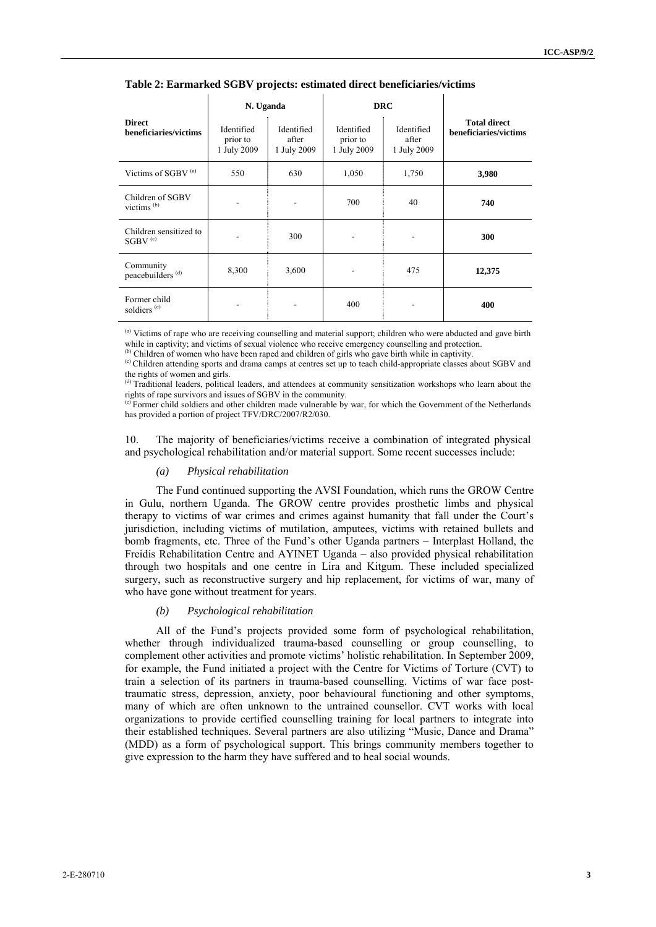|                                               | N. Uganda                             |                                    | <b>DRC</b>                            |                                    |                                              |
|-----------------------------------------------|---------------------------------------|------------------------------------|---------------------------------------|------------------------------------|----------------------------------------------|
| <b>Direct</b><br>beneficiaries/victims        | Identified<br>prior to<br>1 July 2009 | Identified<br>after<br>1 July 2009 | Identified<br>prior to<br>1 July 2009 | Identified<br>after<br>1 July 2009 | <b>Total direct</b><br>beneficiaries/victims |
| Victims of SGBV <sup>(a)</sup>                | 550                                   | 630                                | 1,050                                 | 1,750                              | 3,980                                        |
| Children of SGBV<br>victims $^{(b)}$          |                                       |                                    | 700                                   | 40                                 | 740                                          |
| Children sensitized to<br>$SGBV$ $^{\rm (c)}$ |                                       | 300                                |                                       |                                    | 300                                          |
| Community<br>peacebuilders <sup>(d)</sup>     | 8,300                                 | 3,600                              |                                       | 475                                | 12,375                                       |
| Former child<br>soldiers <sup>(e)</sup>       |                                       |                                    | 400                                   |                                    | 400                                          |

**Table 2: Earmarked SGBV projects: estimated direct beneficiaries/victims**

<sup>(a)</sup> Victims of rape who are receiving counselling and material support; children who were abducted and gave birth while in captivity; and victims of sexual violence who receive emergency counselling and protection.

<sup>(b)</sup> Children of women who have been raped and children of girls who gave birth while in captivity.

(c) Children attending sports and drama camps at centres set up to teach child-appropriate classes about SGBV and the rights of women and girls.

Traditional leaders, political leaders, and attendees at community sensitization workshops who learn about the rights of rape survivors and issues of SGBV in the community.

(e) Former child soldiers and other children made vulnerable by war, for which the Government of the Netherlands has provided a portion of project TFV/DRC/2007/R2/030.

10. The majority of beneficiaries/victims receive a combination of integrated physical and psychological rehabilitation and/or material support. Some recent successes include:

#### *(a) Physical rehabilitation*

The Fund continued supporting the AVSI Foundation, which runs the GROW Centre in Gulu, northern Uganda. The GROW centre provides prosthetic limbs and physical therapy to victims of war crimes and crimes against humanity that fall under the Court's jurisdiction, including victims of mutilation, amputees, victims with retained bullets and bomb fragments, etc. Three of the Fund's other Uganda partners – Interplast Holland, the Freidis Rehabilitation Centre and AYINET Uganda – also provided physical rehabilitation through two hospitals and one centre in Lira and Kitgum. These included specialized surgery, such as reconstructive surgery and hip replacement, for victims of war, many of who have gone without treatment for years.

#### *(b) Psychological rehabilitation*

All of the Fund's projects provided some form of psychological rehabilitation, whether through individualized trauma-based counselling or group counselling, to complement other activities and promote victims' holistic rehabilitation. In September 2009, for example, the Fund initiated a project with the Centre for Victims of Torture (CVT) to train a selection of its partners in trauma-based counselling. Victims of war face posttraumatic stress, depression, anxiety, poor behavioural functioning and other symptoms, many of which are often unknown to the untrained counsellor. CVT works with local organizations to provide certified counselling training for local partners to integrate into their established techniques. Several partners are also utilizing "Music, Dance and Drama" (MDD) as a form of psychological support. This brings community members together to give expression to the harm they have suffered and to heal social wounds.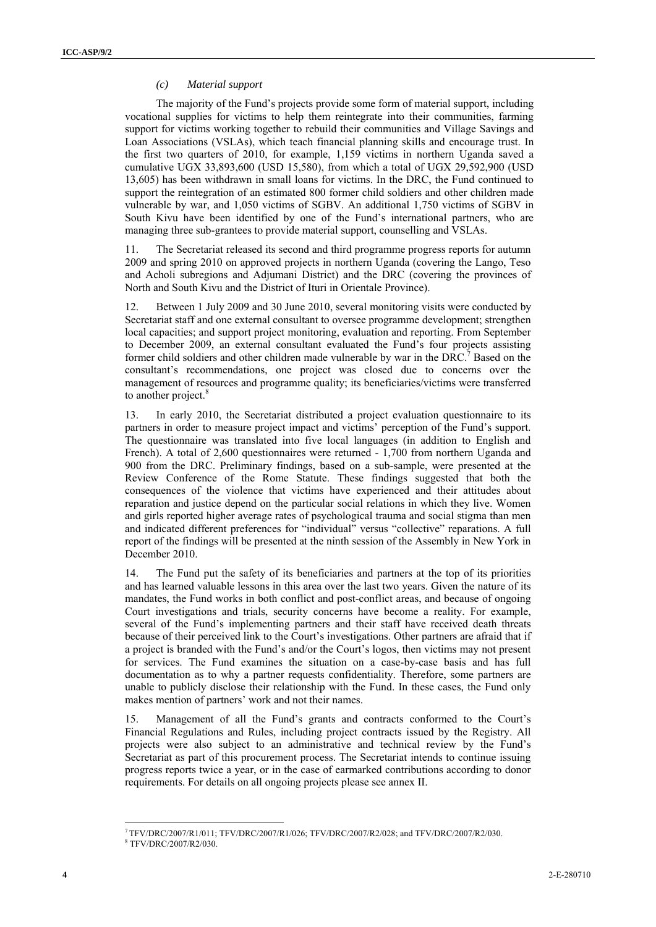#### *(c) Material support*

The majority of the Fund's projects provide some form of material support, including vocational supplies for victims to help them reintegrate into their communities, farming support for victims working together to rebuild their communities and Village Savings and Loan Associations (VSLAs), which teach financial planning skills and encourage trust. In the first two quarters of 2010, for example, 1,159 victims in northern Uganda saved a cumulative UGX 33,893,600 (USD 15,580), from which a total of UGX 29,592,900 (USD 13,605) has been withdrawn in small loans for victims. In the DRC, the Fund continued to support the reintegration of an estimated 800 former child soldiers and other children made vulnerable by war, and 1,050 victims of SGBV. An additional 1,750 victims of SGBV in South Kivu have been identified by one of the Fund's international partners, who are managing three sub-grantees to provide material support, counselling and VSLAs.

11. The Secretariat released its second and third programme progress reports for autumn 2009 and spring 2010 on approved projects in northern Uganda (covering the Lango, Teso and Acholi subregions and Adjumani District) and the DRC (covering the provinces of North and South Kivu and the District of Ituri in Orientale Province).

12. Between 1 July 2009 and 30 June 2010, several monitoring visits were conducted by Secretariat staff and one external consultant to oversee programme development; strengthen local capacities; and support project monitoring, evaluation and reporting. From September to December 2009, an external consultant evaluated the Fund's four projects assisting former child soldiers and other children made vulnerable by war in the DRC.<sup>7</sup> Based on the consultant's recommendations, one project was closed due to concerns over the management of resources and programme quality; its beneficiaries/victims were transferred to another project.<sup>8</sup>

13. In early 2010, the Secretariat distributed a project evaluation questionnaire to its partners in order to measure project impact and victims' perception of the Fund's support. The questionnaire was translated into five local languages (in addition to English and French). A total of 2,600 questionnaires were returned - 1,700 from northern Uganda and 900 from the DRC. Preliminary findings, based on a sub-sample, were presented at the Review Conference of the Rome Statute. These findings suggested that both the consequences of the violence that victims have experienced and their attitudes about reparation and justice depend on the particular social relations in which they live. Women and girls reported higher average rates of psychological trauma and social stigma than men and indicated different preferences for "individual" versus "collective" reparations. A full report of the findings will be presented at the ninth session of the Assembly in New York in December 2010.

14. The Fund put the safety of its beneficiaries and partners at the top of its priorities and has learned valuable lessons in this area over the last two years. Given the nature of its mandates, the Fund works in both conflict and post-conflict areas, and because of ongoing Court investigations and trials, security concerns have become a reality. For example, several of the Fund's implementing partners and their staff have received death threats because of their perceived link to the Court's investigations. Other partners are afraid that if a project is branded with the Fund's and/or the Court's logos, then victims may not present for services. The Fund examines the situation on a case-by-case basis and has full documentation as to why a partner requests confidentiality. Therefore, some partners are unable to publicly disclose their relationship with the Fund. In these cases, the Fund only makes mention of partners' work and not their names.

15. Management of all the Fund's grants and contracts conformed to the Court's Financial Regulations and Rules, including project contracts issued by the Registry. All projects were also subject to an administrative and technical review by the Fund's Secretariat as part of this procurement process. The Secretariat intends to continue issuing progress reports twice a year, or in the case of earmarked contributions according to donor requirements. For details on all ongoing projects please see annex II.

<sup>7</sup> TFV/DRC/2007/R1/011; TFV/DRC/2007/R1/026; TFV/DRC/2007/R2/028; and TFV/DRC/2007/R2/030.

<sup>8</sup> TFV/DRC/2007/R2/030.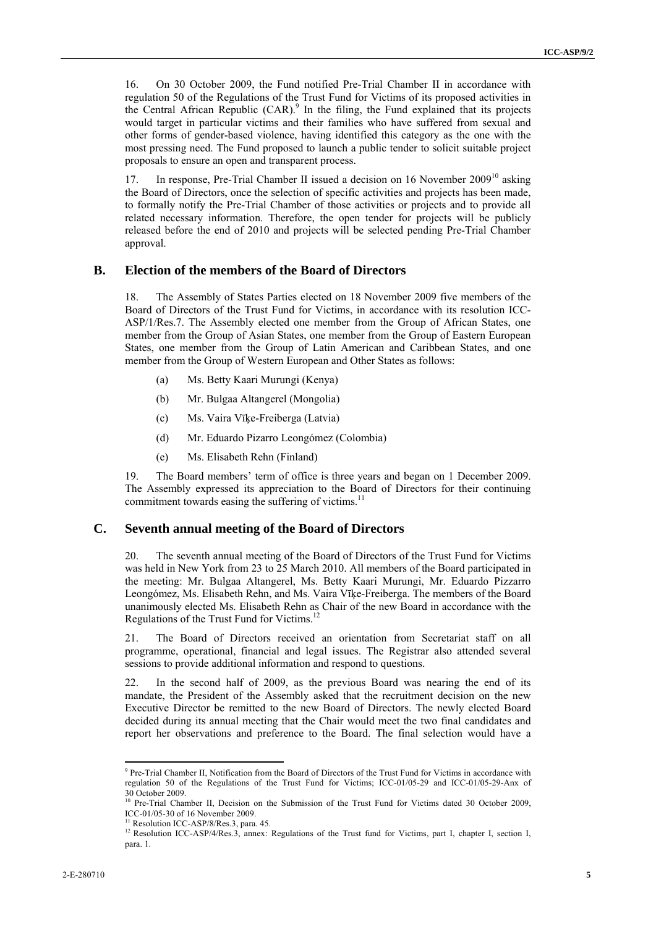16. On 30 October 2009, the Fund notified Pre-Trial Chamber II in accordance with regulation 50 of the Regulations of the Trust Fund for Victims of its proposed activities in the Central African Republic  $(CAR)$ <sup>9</sup> In the filing, the Fund explained that its projects would target in particular victims and their families who have suffered from sexual and other forms of gender-based violence, having identified this category as the one with the most pressing need. The Fund proposed to launch a public tender to solicit suitable project proposals to ensure an open and transparent process.

17. In response, Pre-Trial Chamber II issued a decision on 16 November 2009<sup>10</sup> asking the Board of Directors, once the selection of specific activities and projects has been made, to formally notify the Pre-Trial Chamber of those activities or projects and to provide all related necessary information. Therefore, the open tender for projects will be publicly released before the end of 2010 and projects will be selected pending Pre-Trial Chamber approval.

### **B. Election of the members of the Board of Directors**

18. The Assembly of States Parties elected on 18 November 2009 five members of the Board of Directors of the Trust Fund for Victims, in accordance with its resolution ICC-ASP/1/Res.7. The Assembly elected one member from the Group of African States, one member from the Group of Asian States, one member from the Group of Eastern European States, one member from the Group of Latin American and Caribbean States, and one member from the Group of Western European and Other States as follows:

- (a) Ms. Betty Kaari Murungi (Kenya)
- (b) Mr. Bulgaa Altangerel (Mongolia)
- (c) Ms. Vaira Vīķe-Freiberga (Latvia)
- (d) Mr. Eduardo Pizarro Leongómez (Colombia)
- (e) Ms. Elisabeth Rehn (Finland)

19. The Board members' term of office is three years and began on 1 December 2009. The Assembly expressed its appreciation to the Board of Directors for their continuing commitment towards easing the suffering of victims.<sup>11</sup>

### **C. Seventh annual meeting of the Board of Directors**

20. The seventh annual meeting of the Board of Directors of the Trust Fund for Victims was held in New York from 23 to 25 March 2010. All members of the Board participated in the meeting: Mr. Bulgaa Altangerel, Ms. Betty Kaari Murungi, Mr. Eduardo Pizzarro Leongómez, Ms. Elisabeth Rehn, and Ms. Vaira Vīķe-Freiberga. The members of the Board unanimously elected Ms. Elisabeth Rehn as Chair of the new Board in accordance with the Regulations of the Trust Fund for Victims.12

21. The Board of Directors received an orientation from Secretariat staff on all programme, operational, financial and legal issues. The Registrar also attended several sessions to provide additional information and respond to questions.

22. In the second half of 2009, as the previous Board was nearing the end of its mandate, the President of the Assembly asked that the recruitment decision on the new Executive Director be remitted to the new Board of Directors. The newly elected Board decided during its annual meeting that the Chair would meet the two final candidates and report her observations and preference to the Board. The final selection would have a

 9 Pre-Trial Chamber II, Notification from the Board of Directors of the Trust Fund for Victims in accordance with regulation 50 of the Regulations of the Trust Fund for Victims; ICC-01/05-29 and ICC-01/05-29-Anx of  $30$  October 2009.

<sup>10</sup> Pre-Trial Chamber II, Decision on the Submission of the Trust Fund for Victims dated 30 October 2009, ICC-01/05-30 of 16 November 2009.

<sup>&</sup>lt;sup>11</sup> Resolution ICC-ASP/8/Res.3, para. 45.

<sup>&</sup>lt;sup>12</sup> Resolution ICC-ASP/4/Res.3, annex: Regulations of the Trust fund for Victims, part I, chapter I, section I, para. 1.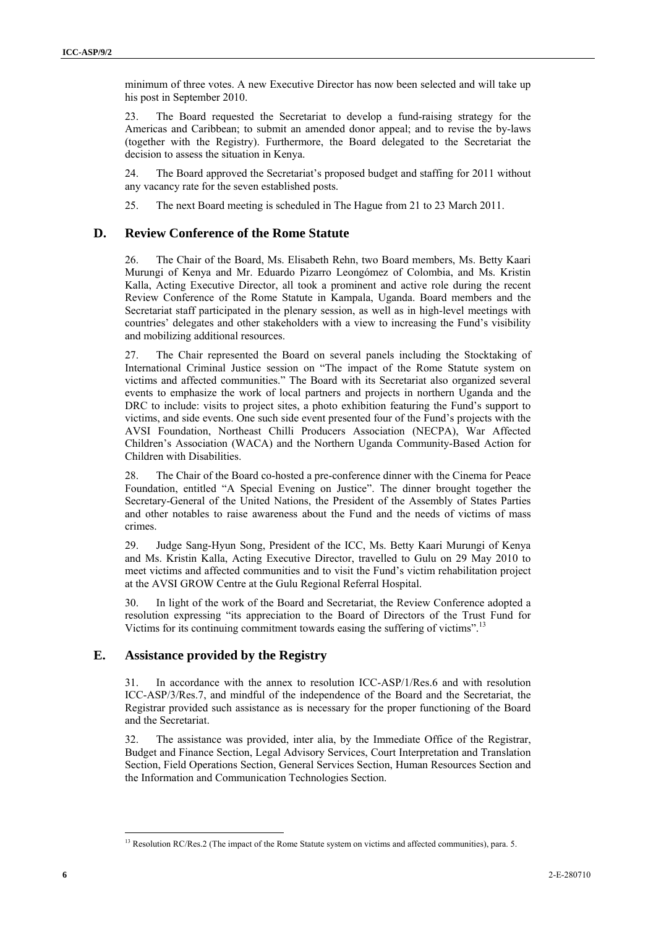minimum of three votes. A new Executive Director has now been selected and will take up his post in September 2010.

23. The Board requested the Secretariat to develop a fund-raising strategy for the Americas and Caribbean; to submit an amended donor appeal; and to revise the by-laws (together with the Registry). Furthermore, the Board delegated to the Secretariat the decision to assess the situation in Kenya.

24. The Board approved the Secretariat's proposed budget and staffing for 2011 without any vacancy rate for the seven established posts.

25. The next Board meeting is scheduled in The Hague from 21 to 23 March 2011.

### **D. Review Conference of the Rome Statute**

26. The Chair of the Board, Ms. Elisabeth Rehn, two Board members, Ms. Betty Kaari Murungi of Kenya and Mr. Eduardo Pizarro Leongómez of Colombia, and Ms. Kristin Kalla, Acting Executive Director, all took a prominent and active role during the recent Review Conference of the Rome Statute in Kampala, Uganda. Board members and the Secretariat staff participated in the plenary session, as well as in high-level meetings with countries' delegates and other stakeholders with a view to increasing the Fund's visibility and mobilizing additional resources.

27. The Chair represented the Board on several panels including the Stocktaking of International Criminal Justice session on "The impact of the Rome Statute system on victims and affected communities." The Board with its Secretariat also organized several events to emphasize the work of local partners and projects in northern Uganda and the DRC to include: visits to project sites, a photo exhibition featuring the Fund's support to victims, and side events. One such side event presented four of the Fund's projects with the AVSI Foundation, Northeast Chilli Producers Association (NECPA), War Affected Children's Association (WACA) and the Northern Uganda Community-Based Action for Children with Disabilities.

28. The Chair of the Board co-hosted a pre-conference dinner with the Cinema for Peace Foundation, entitled "A Special Evening on Justice". The dinner brought together the Secretary-General of the United Nations, the President of the Assembly of States Parties and other notables to raise awareness about the Fund and the needs of victims of mass crimes.

29. Judge Sang-Hyun Song, President of the ICC, Ms. Betty Kaari Murungi of Kenya and Ms. Kristin Kalla, Acting Executive Director, travelled to Gulu on 29 May 2010 to meet victims and affected communities and to visit the Fund's victim rehabilitation project at the AVSI GROW Centre at the Gulu Regional Referral Hospital.

30. In light of the work of the Board and Secretariat, the Review Conference adopted a resolution expressing "its appreciation to the Board of Directors of the Trust Fund for Victims for its continuing commitment towards easing the suffering of victims".<sup>13</sup>

### **E. Assistance provided by the Registry**

31. In accordance with the annex to resolution ICC-ASP/1/Res.6 and with resolution ICC-ASP/3/Res.7, and mindful of the independence of the Board and the Secretariat, the Registrar provided such assistance as is necessary for the proper functioning of the Board and the Secretariat.

32. The assistance was provided, inter alia, by the Immediate Office of the Registrar, Budget and Finance Section, Legal Advisory Services, Court Interpretation and Translation Section, Field Operations Section, General Services Section, Human Resources Section and the Information and Communication Technologies Section.

<sup>&</sup>lt;sup>13</sup> Resolution RC/Res.2 (The impact of the Rome Statute system on victims and affected communities), para. 5.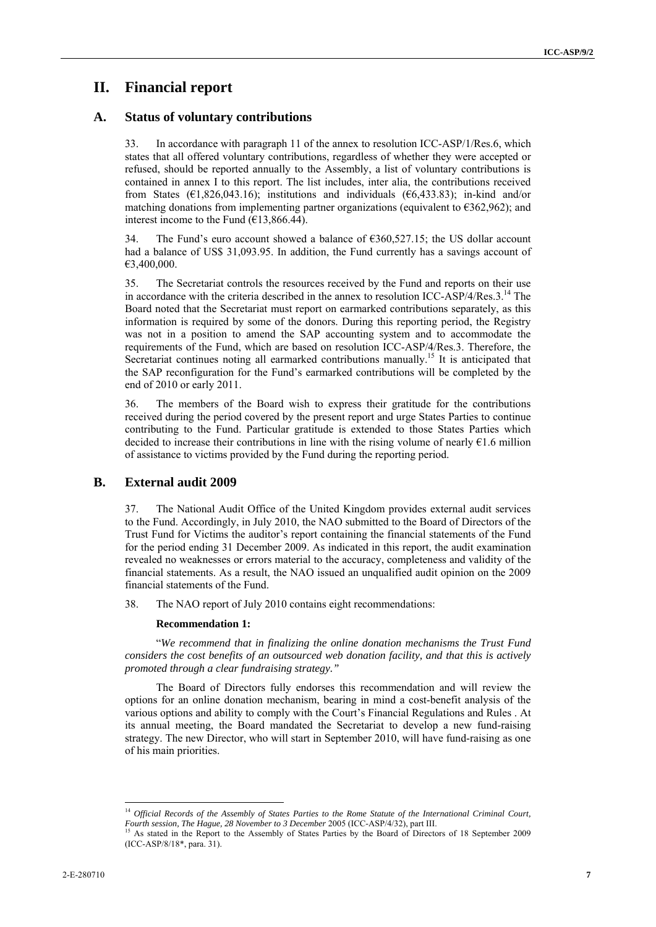## **II. Financial report**

### **A. Status of voluntary contributions**

33. In accordance with paragraph 11 of the annex to resolution ICC-ASP/1/Res.6, which states that all offered voluntary contributions, regardless of whether they were accepted or refused, should be reported annually to the Assembly, a list of voluntary contributions is contained in annex I to this report. The list includes, inter alia, the contributions received from States ( $\epsilon$ 1,826,043.16); institutions and individuals ( $\epsilon$ 6,433.83); in-kind and/or matching donations from implementing partner organizations (equivalent to  $\epsilon$ 362,962); and interest income to the Fund ( $\epsilon$ 13,866.44).

34. The Fund's euro account showed a balance of €360,527.15; the US dollar account had a balance of US\$ 31,093.95. In addition, the Fund currently has a savings account of €3,400,000.

35. The Secretariat controls the resources received by the Fund and reports on their use in accordance with the criteria described in the annex to resolution ICC-ASP/4/Res.3.14 The Board noted that the Secretariat must report on earmarked contributions separately, as this information is required by some of the donors. During this reporting period, the Registry was not in a position to amend the SAP accounting system and to accommodate the requirements of the Fund, which are based on resolution ICC-ASP/4/Res.3. Therefore, the Secretariat continues noting all earmarked contributions manually.<sup>15</sup> It is anticipated that the SAP reconfiguration for the Fund's earmarked contributions will be completed by the end of 2010 or early 2011.

36. The members of the Board wish to express their gratitude for the contributions received during the period covered by the present report and urge States Parties to continue contributing to the Fund. Particular gratitude is extended to those States Parties which decided to increase their contributions in line with the rising volume of nearly  $\epsilon$ 1.6 million of assistance to victims provided by the Fund during the reporting period.

### **B. External audit 2009**

37. The National Audit Office of the United Kingdom provides external audit services to the Fund. Accordingly, in July 2010, the NAO submitted to the Board of Directors of the Trust Fund for Victims the auditor's report containing the financial statements of the Fund for the period ending 31 December 2009. As indicated in this report, the audit examination revealed no weaknesses or errors material to the accuracy, completeness and validity of the financial statements. As a result, the NAO issued an unqualified audit opinion on the 2009 financial statements of the Fund.

38. The NAO report of July 2010 contains eight recommendations:

#### **Recommendation 1:**

"*We recommend that in finalizing the online donation mechanisms the Trust Fund considers the cost benefits of an outsourced web donation facility, and that this is actively promoted through a clear fundraising strategy."*

The Board of Directors fully endorses this recommendation and will review the options for an online donation mechanism, bearing in mind a cost-benefit analysis of the various options and ability to comply with the Court's Financial Regulations and Rules . At its annual meeting, the Board mandated the Secretariat to develop a new fund-raising strategy. The new Director, who will start in September 2010, will have fund-raising as one of his main priorities.

<sup>&</sup>lt;sup>14</sup> Official Records of the Assembly of States Parties to the Rome Statute of the International Criminal Court, *Fourth session, The Hague, 28 November to 3 December 2005 (ICC-ASP/4/32), part III.*<br><sup>15</sup> As stated in the Report to the Assembly of States Parties by the Board of Directors of 18 September 2009

<sup>(</sup>ICC-ASP/8/18\*, para. 31).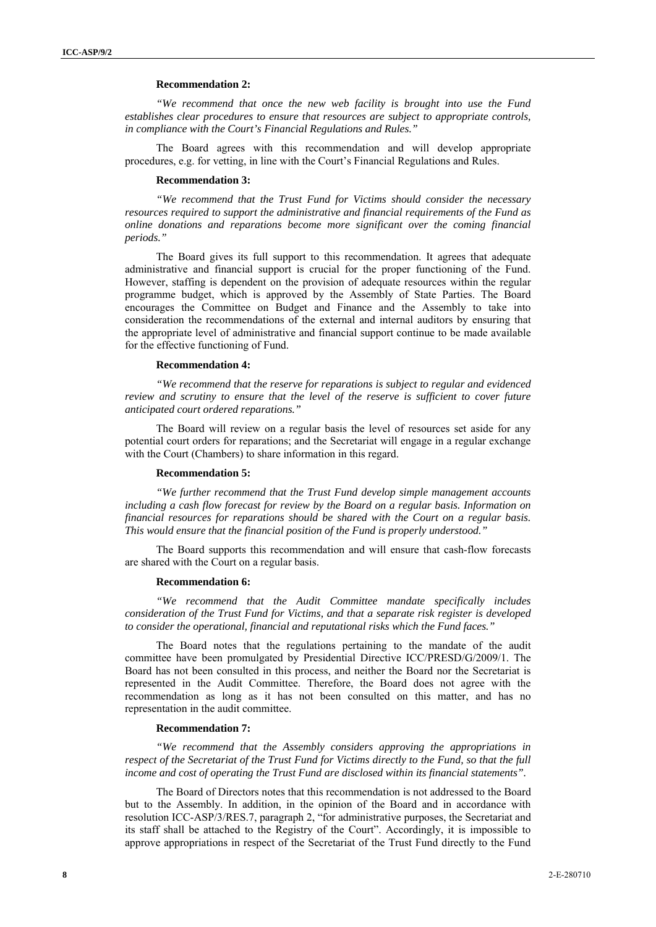#### **Recommendation 2:**

*"We recommend that once the new web facility is brought into use the Fund establishes clear procedures to ensure that resources are subject to appropriate controls, in compliance with the Court's Financial Regulations and Rules."* 

The Board agrees with this recommendation and will develop appropriate procedures, e.g. for vetting, in line with the Court's Financial Regulations and Rules.

#### **Recommendation 3:**

*"We recommend that the Trust Fund for Victims should consider the necessary resources required to support the administrative and financial requirements of the Fund as online donations and reparations become more significant over the coming financial periods."* 

The Board gives its full support to this recommendation. It agrees that adequate administrative and financial support is crucial for the proper functioning of the Fund. However, staffing is dependent on the provision of adequate resources within the regular programme budget, which is approved by the Assembly of State Parties. The Board encourages the Committee on Budget and Finance and the Assembly to take into consideration the recommendations of the external and internal auditors by ensuring that the appropriate level of administrative and financial support continue to be made available for the effective functioning of Fund.

#### **Recommendation 4:**

*"We recommend that the reserve for reparations is subject to regular and evidenced review and scrutiny to ensure that the level of the reserve is sufficient to cover future anticipated court ordered reparations."* 

The Board will review on a regular basis the level of resources set aside for any potential court orders for reparations; and the Secretariat will engage in a regular exchange with the Court (Chambers) to share information in this regard.

#### **Recommendation 5:**

*"We further recommend that the Trust Fund develop simple management accounts including a cash flow forecast for review by the Board on a regular basis. Information on financial resources for reparations should be shared with the Court on a regular basis. This would ensure that the financial position of the Fund is properly understood."* 

The Board supports this recommendation and will ensure that cash-flow forecasts are shared with the Court on a regular basis.

#### **Recommendation 6:**

*"We recommend that the Audit Committee mandate specifically includes consideration of the Trust Fund for Victims, and that a separate risk register is developed to consider the operational, financial and reputational risks which the Fund faces."* 

The Board notes that the regulations pertaining to the mandate of the audit committee have been promulgated by Presidential Directive ICC/PRESD/G/2009/1. The Board has not been consulted in this process, and neither the Board nor the Secretariat is represented in the Audit Committee. Therefore, the Board does not agree with the recommendation as long as it has not been consulted on this matter, and has no representation in the audit committee.

#### **Recommendation 7:**

*"We recommend that the Assembly considers approving the appropriations in respect of the Secretariat of the Trust Fund for Victims directly to the Fund, so that the full income and cost of operating the Trust Fund are disclosed within its financial statements".* 

The Board of Directors notes that this recommendation is not addressed to the Board but to the Assembly. In addition, in the opinion of the Board and in accordance with resolution ICC-ASP/3/RES.7, paragraph 2, "for administrative purposes, the Secretariat and its staff shall be attached to the Registry of the Court". Accordingly, it is impossible to approve appropriations in respect of the Secretariat of the Trust Fund directly to the Fund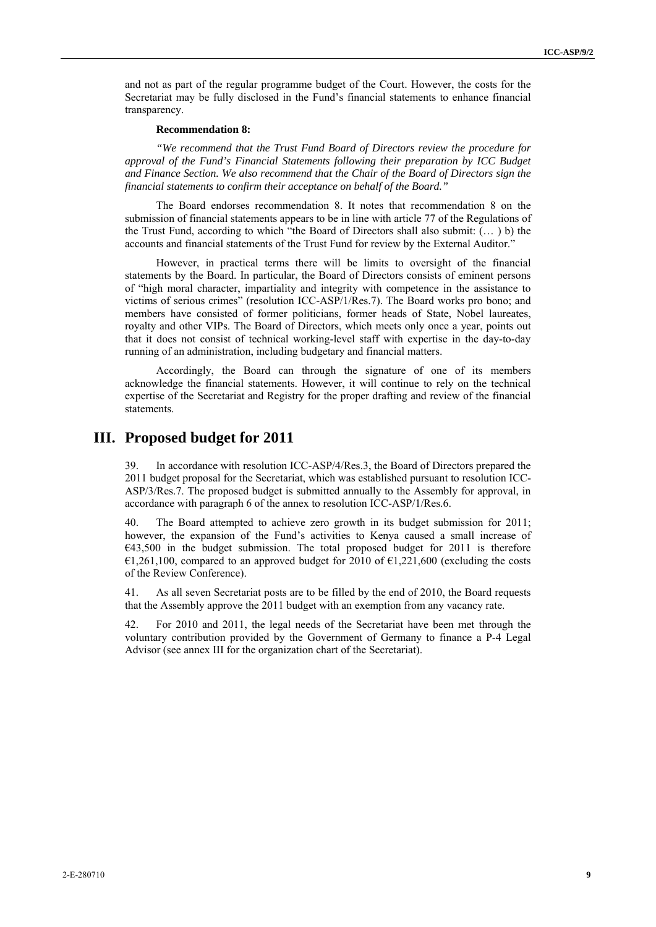and not as part of the regular programme budget of the Court. However, the costs for the Secretariat may be fully disclosed in the Fund's financial statements to enhance financial transparency.

#### **Recommendation 8:**

*"We recommend that the Trust Fund Board of Directors review the procedure for approval of the Fund's Financial Statements following their preparation by ICC Budget and Finance Section. We also recommend that the Chair of the Board of Directors sign the financial statements to confirm their acceptance on behalf of the Board."* 

The Board endorses recommendation 8. It notes that recommendation 8 on the submission of financial statements appears to be in line with article 77 of the Regulations of the Trust Fund, according to which "the Board of Directors shall also submit: (… ) b) the accounts and financial statements of the Trust Fund for review by the External Auditor."

However, in practical terms there will be limits to oversight of the financial statements by the Board. In particular, the Board of Directors consists of eminent persons of "high moral character, impartiality and integrity with competence in the assistance to victims of serious crimes" (resolution ICC-ASP/1/Res.7). The Board works pro bono; and members have consisted of former politicians, former heads of State, Nobel laureates, royalty and other VIPs. The Board of Directors, which meets only once a year, points out that it does not consist of technical working-level staff with expertise in the day-to-day running of an administration, including budgetary and financial matters.

Accordingly, the Board can through the signature of one of its members acknowledge the financial statements. However, it will continue to rely on the technical expertise of the Secretariat and Registry for the proper drafting and review of the financial statements.

### **III. Proposed budget for 2011**

39. In accordance with resolution ICC-ASP/4/Res.3, the Board of Directors prepared the 2011 budget proposal for the Secretariat, which was established pursuant to resolution ICC-ASP/3/Res.7. The proposed budget is submitted annually to the Assembly for approval, in accordance with paragraph 6 of the annex to resolution ICC-ASP/1/Res.6.

40. The Board attempted to achieve zero growth in its budget submission for 2011; however, the expansion of the Fund's activities to Kenya caused a small increase of  $€43,500$  in the budget submission. The total proposed budget for 2011 is therefore  $\epsilon$ 1,261,100, compared to an approved budget for 2010 of  $\epsilon$ 1,221,600 (excluding the costs of the Review Conference).

41. As all seven Secretariat posts are to be filled by the end of 2010, the Board requests that the Assembly approve the 2011 budget with an exemption from any vacancy rate.

42. For 2010 and 2011, the legal needs of the Secretariat have been met through the voluntary contribution provided by the Government of Germany to finance a P-4 Legal Advisor (see annex III for the organization chart of the Secretariat).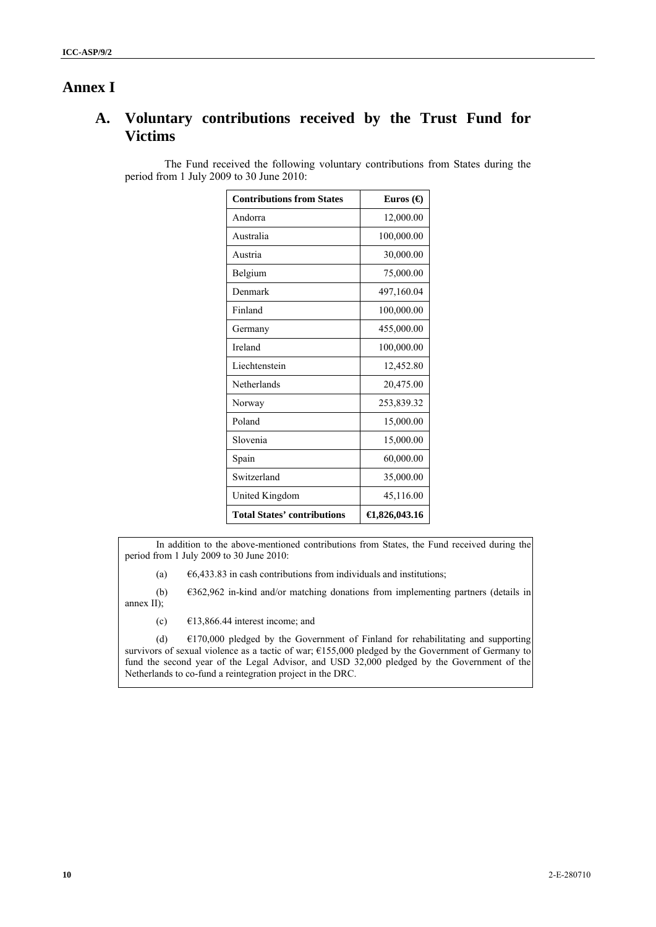## **Annex I**

## **A. Voluntary contributions received by the Trust Fund for Victims**

The Fund received the following voluntary contributions from States during the period from 1 July 2009 to 30 June 2010:

| <b>Contributions from States</b>   | Euros $\Theta$          |
|------------------------------------|-------------------------|
| Andorra                            | 12,000.00               |
| Australia                          | 100,000.00              |
| Austria                            | 30,000.00               |
| Belgium                            | 75,000.00               |
| Denmark                            | 497,160.04              |
| Finland                            | 100,000.00              |
| Germany                            | 455,000.00              |
| Ireland                            | 100,000.00              |
| Liechtenstein                      | 12,452.80               |
| Netherlands                        | 20,475.00               |
| Norway                             | 253,839.32              |
| Poland                             | 15,000.00               |
| Slovenia                           | 15,000.00               |
| Spain                              | 60,000.00               |
| Switzerland                        | 35,000.00               |
| United Kingdom                     | 45,116.00               |
| <b>Total States' contributions</b> | $\bigoplus$ ,826,043.16 |

In addition to the above-mentioned contributions from States, the Fund received during the period from 1 July 2009 to 30 June 2010:

(a)  $\epsilon$ 6,433.83 in cash contributions from individuals and institutions;

(b) €362,962 in-kind and/or matching donations from implementing partners (details in annex II);

(c)  $\epsilon$ 13,866.44 interest income; and

(d)  $\epsilon$ 170,000 pledged by the Government of Finland for rehabilitating and supporting survivors of sexual violence as a tactic of war; €155,000 pledged by the Government of Germany to fund the second year of the Legal Advisor, and USD 32,000 pledged by the Government of the Netherlands to co-fund a reintegration project in the DRC.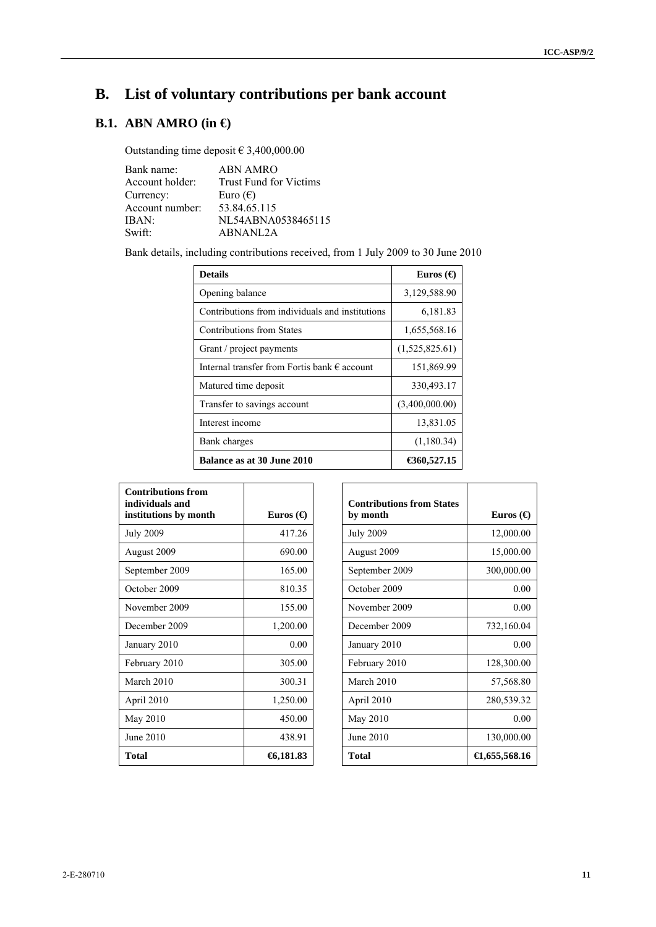# **B. List of voluntary contributions per bank account**

## **B.1. ABN AMRO (in €)**

Outstanding time deposit  $\in$  3,400,000.00

| Bank name:      | <b>ABN AMRO</b>        |
|-----------------|------------------------|
| Account holder: | Trust Fund for Victims |
| Currency:       | Euro $(\epsilon)$      |
| Account number: | 53.84.65.115           |
| IBAN:           | NL54ABNA0538465115     |
| Swift:          | ABNANL2A               |

Bank details, including contributions received, from 1 July 2009 to 30 June 2010

| <b>Details</b>                                        | Euros $\Theta$ |
|-------------------------------------------------------|----------------|
| Opening balance                                       | 3,129,588.90   |
| Contributions from individuals and institutions       | 6,181.83       |
| Contributions from States                             | 1,655,568.16   |
| Grant / project payments                              | (1,525,825.61) |
| Internal transfer from Fortis bank $\epsilon$ account | 151,869.99     |
| Matured time deposit                                  | 330,493.17     |
| Transfer to savings account                           | (3,400,000.00) |
| Interest income                                       | 13,831.05      |
| Bank charges                                          | (1,180.34)     |
| <b>Balance as at 30 June 2010</b>                     | €360,527.15    |

| <b>Contributions from</b><br>individuals and |                |
|----------------------------------------------|----------------|
| institutions by month                        | Euros $\Theta$ |
| <b>July 2009</b>                             | 417 26         |
| August 2009                                  | 690.00         |
| September 2009                               | 165.00         |
| October 2009                                 | 810.35         |
| November 2009                                | 155.00         |
| December 2009                                | 1,200.00       |
| January 2010                                 | 0.00           |
| February 2010                                | 305.00         |
| March 2010                                   | 300.31         |
| April 2010                                   | 1,250.00       |
| May 2010                                     | 450.00         |
| June 2010                                    | 438.91         |
| Total                                        | 6,181.83       |

| <b>Contributions from States</b> |                  |
|----------------------------------|------------------|
| by month                         | Euros ( $\Theta$ |
| <b>July 2009</b>                 | 12,000.00        |
| August 2009                      | 15,000.00        |
| September 2009                   | 300,000.00       |
| October 2009                     | 0.00             |
| November 2009                    | 0.00             |
| December 2009                    | 732,160.04       |
| January 2010                     | 0.00             |
| February 2010                    | 128,300.00       |
| March 2010                       | 57,568.80        |
| April 2010                       | 280,539.32       |
| May 2010                         | 0.00             |
| June 2010                        | 130,000.00       |
| <b>Total</b>                     | €1,655,568.16    |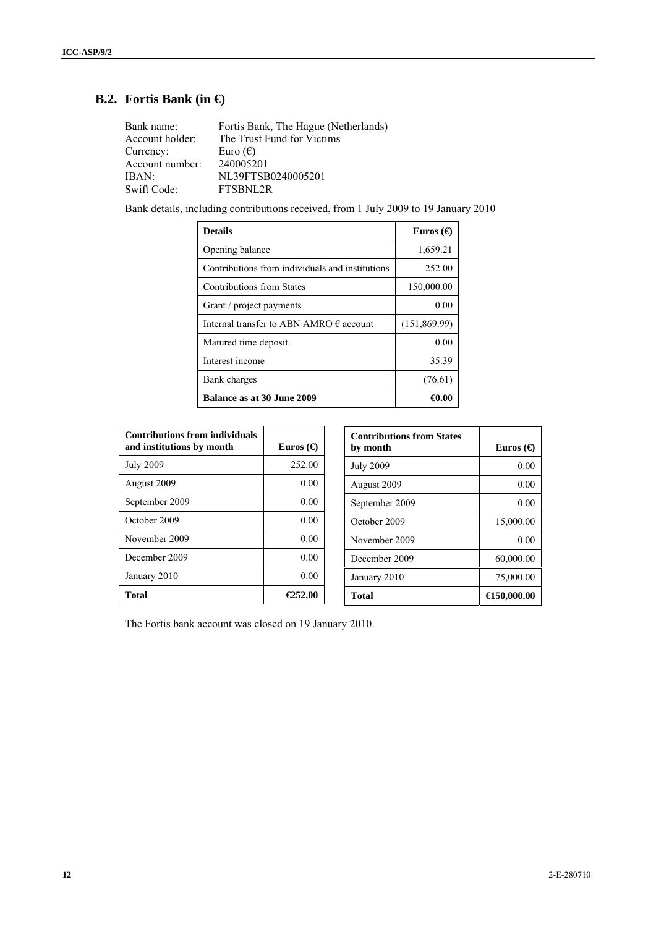## **B.2. Fortis Bank (in €)**

| Bank name:      | Fortis Bank, The Hague (Netherlands) |
|-----------------|--------------------------------------|
| Account holder: | The Trust Fund for Victims           |
| Currency:       | Euro $(\epsilon)$                    |
| Account number: | 240005201                            |
| IBAN:           | NL39FTSB0240005201                   |
| Swift Code:     | FTSBNL2R                             |

Bank details, including contributions received, from 1 July 2009 to 19 January 2010

| <b>Details</b>                                   | Euros $\Theta$ |
|--------------------------------------------------|----------------|
| Opening balance                                  | 1,659.21       |
| Contributions from individuals and institutions  | 252.00         |
| Contributions from States                        | 150,000.00     |
| Grant / project payments                         | 0.00           |
| Internal transfer to ABN AMRO $\epsilon$ account | (151,869.99)   |
| Matured time deposit                             | 0.00           |
| Interest income                                  | 35.39          |
| Bank charges                                     | (76.61)        |
| <b>Balance as at 30 June 2009</b>                | €0.00          |

| <b>Contributions from individuals</b><br>and institutions by month | Euros ( $\Theta$ |
|--------------------------------------------------------------------|------------------|
| <b>July 2009</b>                                                   | 252.00           |
| August 2009                                                        | 0.00             |
| September 2009                                                     | 0.00             |
| October 2009                                                       | 0.00             |
| November 2009                                                      | 0.00             |
| December 2009                                                      | 0.00             |
| January 2010                                                       | 0.00             |
| Total                                                              | €252.00          |

| <b>Contributions from States</b><br>by month | Euros $\Theta$        |
|----------------------------------------------|-----------------------|
| <b>July 2009</b>                             | 0.00                  |
| August 2009                                  | 0.00                  |
| September 2009                               | 0.00                  |
| October 2009                                 | 15,000.00             |
| November 2009                                | 0.00                  |
| December 2009                                | 60,000.00             |
| January 2010                                 | 75,000.00             |
| Total                                        | $\bigoplus$ 50,000.00 |

The Fortis bank account was closed on 19 January 2010.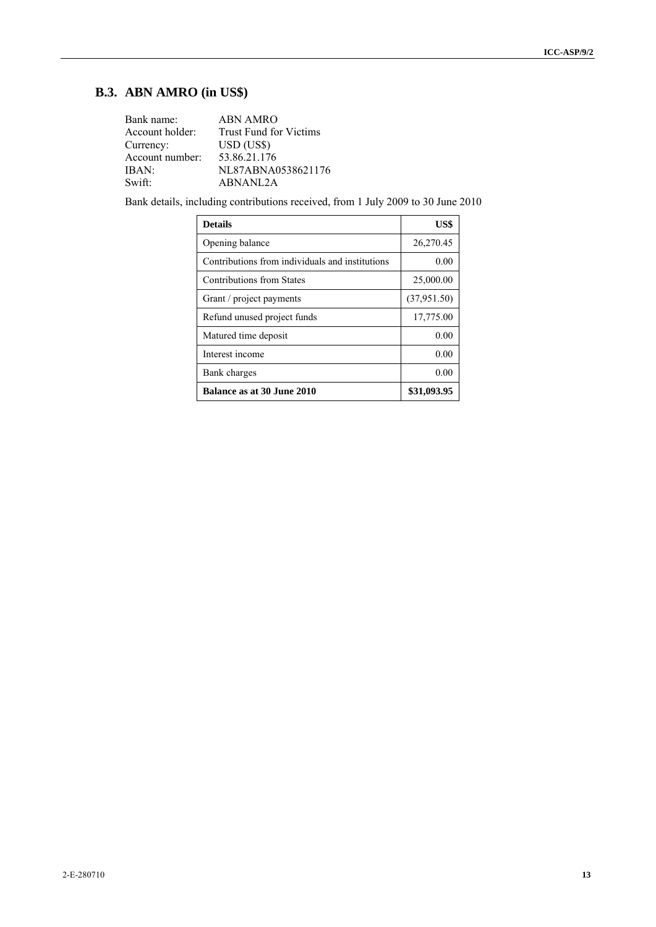## **B.3. ABN AMRO (in US\$)**

| Bank name:      | <b>ABN AMRO</b>               |
|-----------------|-------------------------------|
| Account holder: | <b>Trust Fund for Victims</b> |
| Currency:       | USD (US\$)                    |
| Account number: | 53.86.21.176                  |
| IBAN:           | NL87ABNA0538621176            |
| Swift:          | ABNANL2A                      |

Bank details, including contributions received, from 1 July 2009 to 30 June 2010

| <b>Details</b>                                  | US\$        |
|-------------------------------------------------|-------------|
| Opening balance                                 | 26,270.45   |
| Contributions from individuals and institutions | 0.00        |
| Contributions from States                       | 25,000.00   |
| Grant / project payments                        | (37,951.50) |
| Refund unused project funds                     | 17,775.00   |
| Matured time deposit                            | 0.00        |
| Interest income                                 | 0.00        |
| Bank charges                                    | 0.00        |
| <b>Balance as at 30 June 2010</b>               | \$31,093.95 |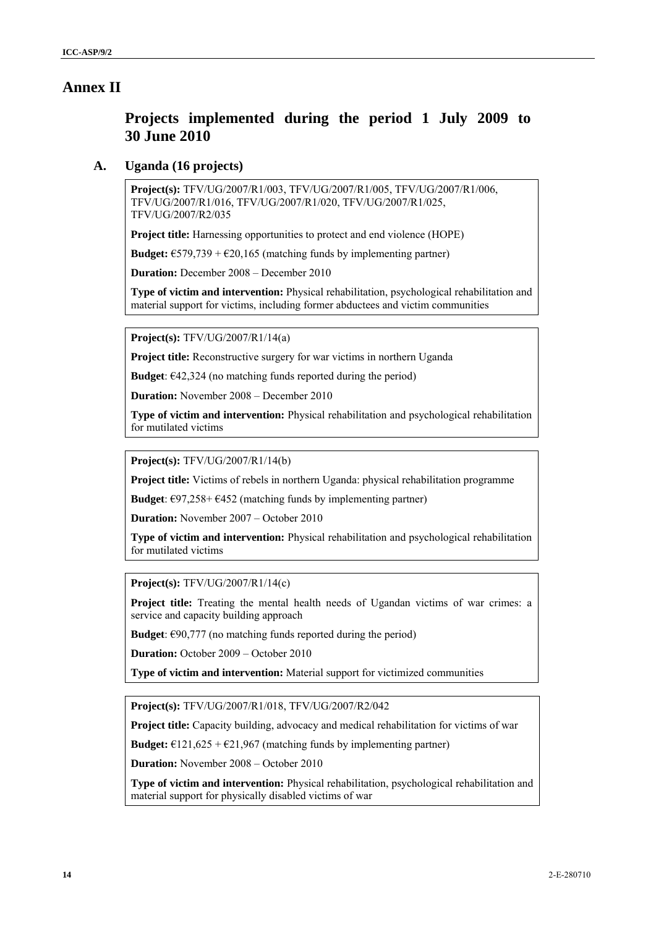### **Annex II**

## **Projects implemented during the period 1 July 2009 to 30 June 2010**

### **A. Uganda (16 projects)**

**Project(s):** TFV/UG/2007/R1/003, TFV/UG/2007/R1/005, TFV/UG/2007/R1/006, TFV/UG/2007/R1/016, TFV/UG/2007/R1/020, TFV/UG/2007/R1/025, TFV/UG/2007/R2/035

**Project title:** Harnessing opportunities to protect and end violence (HOPE)

**Budget:**  $\epsilon$ 579,739 +  $\epsilon$ 20,165 (matching funds by implementing partner)

**Duration:** December 2008 – December 2010

**Type of victim and intervention:** Physical rehabilitation, psychological rehabilitation and material support for victims, including former abductees and victim communities

**Project(s):** TFV/UG/2007/R1/14(a)

**Project title:** Reconstructive surgery for war victims in northern Uganda

**Budget**:  $\epsilon$ 42,324 (no matching funds reported during the period)

**Duration:** November 2008 – December 2010

**Type of victim and intervention:** Physical rehabilitation and psychological rehabilitation for mutilated victims

**Project(s):** TFV/UG/2007/R1/14(b)

**Project title:** Victims of rebels in northern Uganda: physical rehabilitation programme

**Budget**:  $\epsilon$ 97,258+ $\epsilon$ 452 (matching funds by implementing partner)

**Duration:** November 2007 – October 2010

**Type of victim and intervention:** Physical rehabilitation and psychological rehabilitation for mutilated victims

**Project(s):** TFV/UG/2007/R1/14(c)

**Project title:** Treating the mental health needs of Ugandan victims of war crimes: a service and capacity building approach

**Budget**:  $\epsilon$ 90,777 (no matching funds reported during the period)

**Duration:** October 2009 – October 2010

**Type of victim and intervention:** Material support for victimized communities

**Project(s):** TFV/UG/2007/R1/018, TFV/UG/2007/R2/042

**Project title:** Capacity building, advocacy and medical rehabilitation for victims of war

**Budget:**  $\epsilon$ 121,625 +  $\epsilon$ 21,967 (matching funds by implementing partner)

**Duration:** November 2008 – October 2010

**Type of victim and intervention:** Physical rehabilitation, psychological rehabilitation and material support for physically disabled victims of war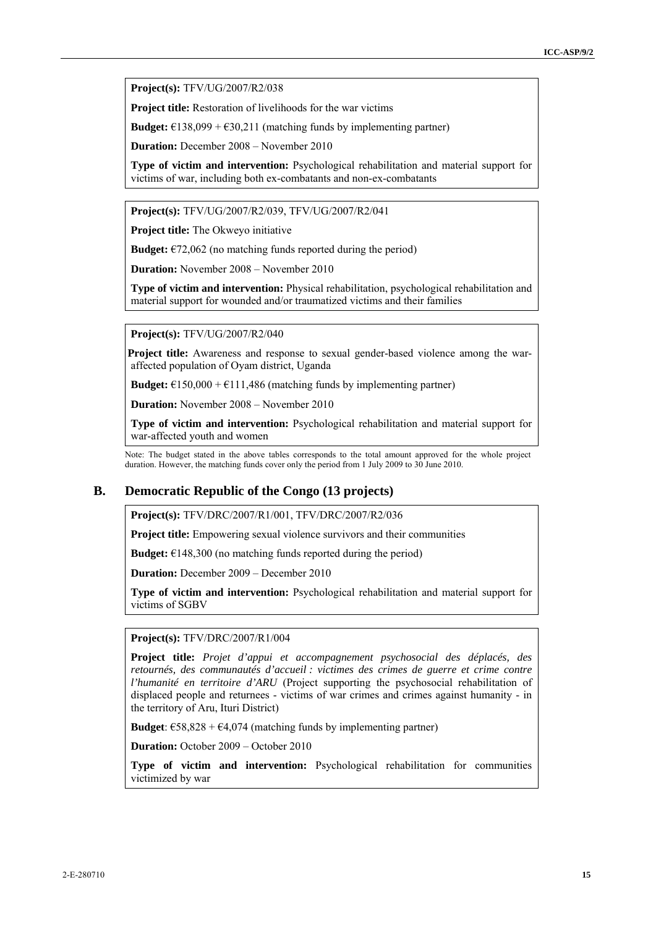**Project(s):** TFV/UG/2007/R2/038

**Project title:** Restoration of livelihoods for the war victims

**Budget:**  $\epsilon$ 138,099 +  $\epsilon$ 30,211 (matching funds by implementing partner)

**Duration:** December 2008 – November 2010

**Type of victim and intervention:** Psychological rehabilitation and material support for victims of war, including both ex-combatants and non-ex-combatants

**Project(s):** TFV/UG/2007/R2/039, TFV/UG/2007/R2/041

**Project title:** The Okweyo initiative

**Budget:**  $\epsilon$ 72,062 (no matching funds reported during the period)

**Duration:** November 2008 – November 2010

**Type of victim and intervention:** Physical rehabilitation, psychological rehabilitation and material support for wounded and/or traumatized victims and their families

**Project(s):** TFV/UG/2007/R2/040

**Project title:** Awareness and response to sexual gender-based violence among the waraffected population of Oyam district, Uganda

**Budget:**  $\epsilon$ 150,000 +  $\epsilon$ 111,486 (matching funds by implementing partner)

**Duration:** November 2008 – November 2010

**Type of victim and intervention:** Psychological rehabilitation and material support for war-affected youth and women

Note: The budget stated in the above tables corresponds to the total amount approved for the whole project duration. However, the matching funds cover only the period from 1 July 2009 to 30 June 2010.

### **B. Democratic Republic of the Congo (13 projects)**

**Project(s):** TFV/DRC/2007/R1/001, TFV/DRC/2007/R2/036

**Project title:** Empowering sexual violence survivors and their communities

**Budget:**  $€148,300$  (no matching funds reported during the period)

**Duration:** December 2009 – December 2010

**Type of victim and intervention:** Psychological rehabilitation and material support for victims of SGBV

**Project(s):** TFV/DRC/2007/R1/004

**Project title:** *Projet d'appui et accompagnement psychosocial des déplacés, des retournés, des communautés d'accueil : victimes des crimes de guerre et crime contre l'humanité en territoire d'ARU* (Project supporting the psychosocial rehabilitation of displaced people and returnees - victims of war crimes and crimes against humanity - in the territory of Aru, Ituri District)

**Budget**:  $\text{\textsterling}58,828 + \text{\textsterling}4,074$  (matching funds by implementing partner)

**Duration:** October 2009 – October 2010

**Type of victim and intervention:** Psychological rehabilitation for communities victimized by war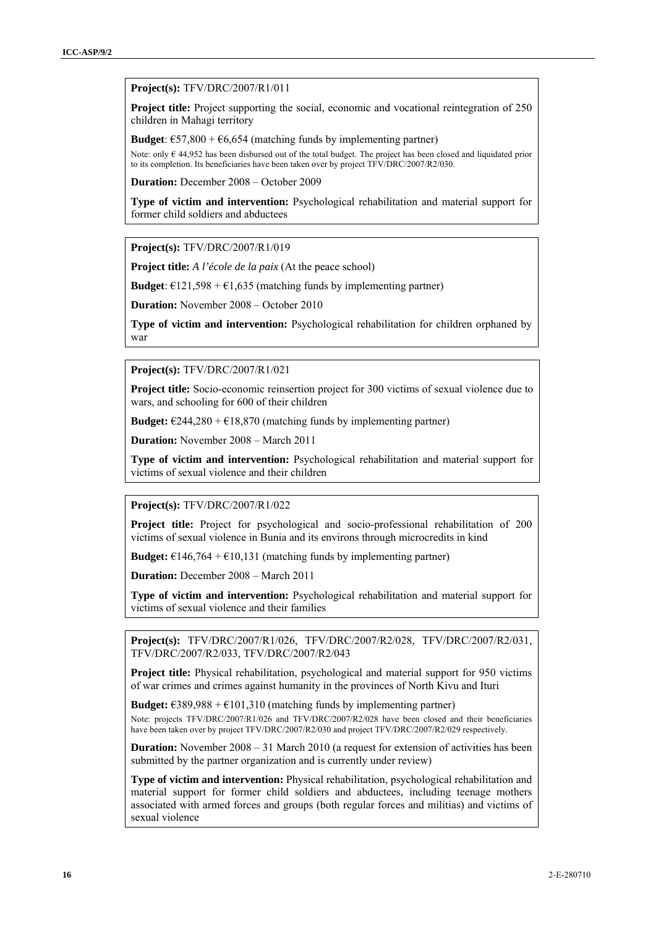#### **Project(s):** TFV/DRC/2007/R1/011

**Project title:** Project supporting the social, economic and vocational reintegration of 250 children in Mahagi territory

**Budget**:  $\epsilon$ 57,800 +  $\epsilon$ 6,654 (matching funds by implementing partner)

Note: only € 44,952 has been disbursed out of the total budget. The project has been closed and liquidated prior to its completion. Its beneficiaries have been taken over by project TFV/DRC/2007/R2/030.

**Duration:** December 2008 – October 2009

**Type of victim and intervention:** Psychological rehabilitation and material support for former child soldiers and abductees

**Project(s):** TFV/DRC/2007/R1/019

**Project title:** *A l'école de la paix* (At the peace school)

**Budget**:  $\epsilon$ 121,598 +  $\epsilon$ 1,635 (matching funds by implementing partner)

**Duration:** November 2008 – October 2010

**Type of victim and intervention:** Psychological rehabilitation for children orphaned by war

**Project(s):** TFV/DRC/2007/R1/021

**Project title:** Socio-economic reinsertion project for 300 victims of sexual violence due to wars, and schooling for 600 of their children

**Budget:**  $\epsilon$ 244,280 +  $\epsilon$ 18,870 (matching funds by implementing partner)

**Duration:** November 2008 – March 2011

**Type of victim and intervention:** Psychological rehabilitation and material support for victims of sexual violence and their children

**Project(s):** TFV/DRC/2007/R1/022

**Project title:** Project for psychological and socio-professional rehabilitation of 200 victims of sexual violence in Bunia and its environs through microcredits in kind

**Budget:**  $\epsilon$ 146,764 +  $\epsilon$ 10,131 (matching funds by implementing partner)

**Duration:** December 2008 – March 2011

**Type of victim and intervention:** Psychological rehabilitation and material support for victims of sexual violence and their families

**Project(s):** TFV/DRC/2007/R1/026, TFV/DRC/2007/R2/028, TFV/DRC/2007/R2/031, TFV/DRC/2007/R2/033, TFV/DRC/2007/R2/043

**Project title:** Physical rehabilitation, psychological and material support for 950 victims of war crimes and crimes against humanity in the provinces of North Kivu and Ituri

**Budget:**  $\text{\textsterling}389,988 + \text{\textsterling}101,310$  (matching funds by implementing partner)

Note: projects TFV/DRC/2007/R1/026 and TFV/DRC/2007/R2/028 have been closed and their beneficiaries have been taken over by project TFV/DRC/2007/R2/030 and project TFV/DRC/2007/R2/029 respectively.

**Duration:** November 2008 – 31 March 2010 (a request for extension of activities has been submitted by the partner organization and is currently under review)

**Type of victim and intervention:** Physical rehabilitation, psychological rehabilitation and material support for former child soldiers and abductees, including teenage mothers associated with armed forces and groups (both regular forces and militias) and victims of sexual violence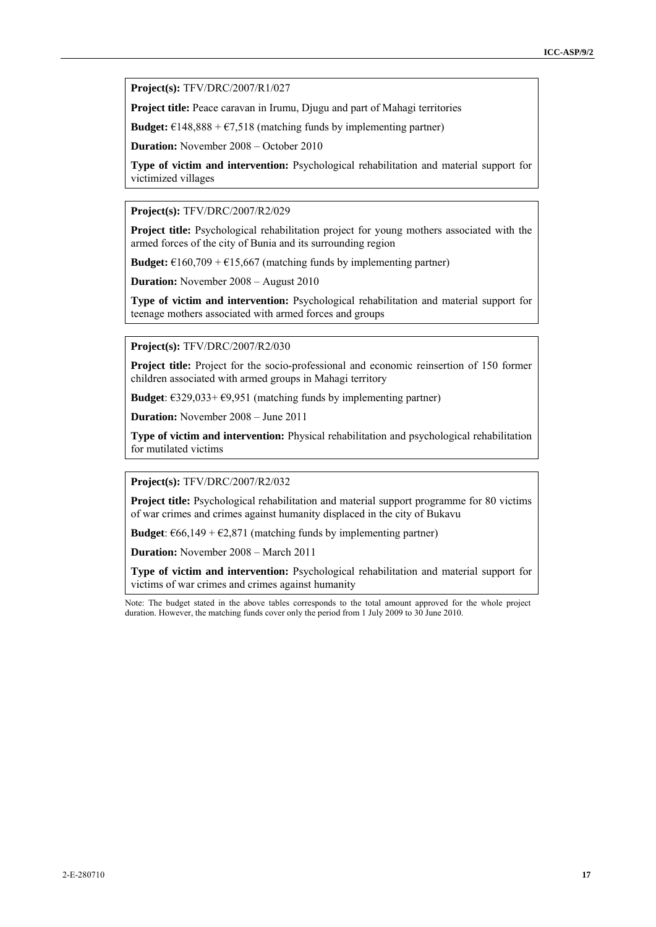**Project(s):** TFV/DRC/2007/R1/027

**Project title:** Peace caravan in Irumu, Djugu and part of Mahagi territories

**Budget:**  $\epsilon$ 148,888 +  $\epsilon$ 7,518 (matching funds by implementing partner)

**Duration:** November 2008 – October 2010

**Type of victim and intervention:** Psychological rehabilitation and material support for victimized villages

**Project(s):** TFV/DRC/2007/R2/029

**Project title:** Psychological rehabilitation project for young mothers associated with the armed forces of the city of Bunia and its surrounding region

**Budget:**  $\in$ 160,709 +  $\in$ 15,667 (matching funds by implementing partner)

**Duration:** November 2008 – August 2010

**Type of victim and intervention:** Psychological rehabilitation and material support for teenage mothers associated with armed forces and groups

**Project(s):** TFV/DRC/2007/R2/030

**Project title:** Project for the socio-professional and economic reinsertion of 150 former children associated with armed groups in Mahagi territory

**Budget**:  $\epsilon$ 329,033+ $\epsilon$ 9,951 (matching funds by implementing partner)

**Duration:** November 2008 – June 2011

**Type of victim and intervention:** Physical rehabilitation and psychological rehabilitation for mutilated victims

**Project(s):** TFV/DRC/2007/R2/032

Project title: Psychological rehabilitation and material support programme for 80 victims of war crimes and crimes against humanity displaced in the city of Bukavu

**Budget**:  $\epsilon$ 66,149 +  $\epsilon$ 2,871 (matching funds by implementing partner)

**Duration:** November 2008 – March 2011

**Type of victim and intervention:** Psychological rehabilitation and material support for victims of war crimes and crimes against humanity

Note: The budget stated in the above tables corresponds to the total amount approved for the whole project duration. However, the matching funds cover only the period from 1 July 2009 to 30 June 2010.